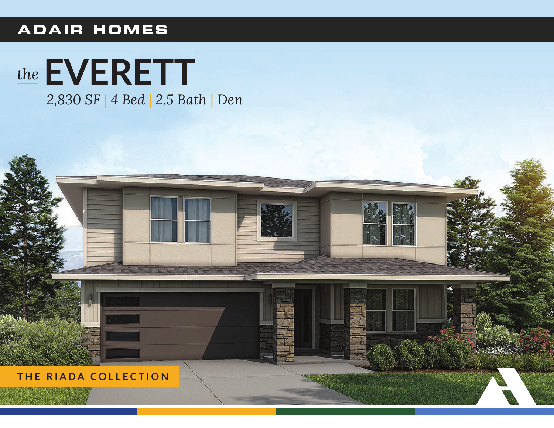### **ADAIR HOMES**

# the EVERETT

2,830 SF | 4 Bed | 2.5 Bath | Den